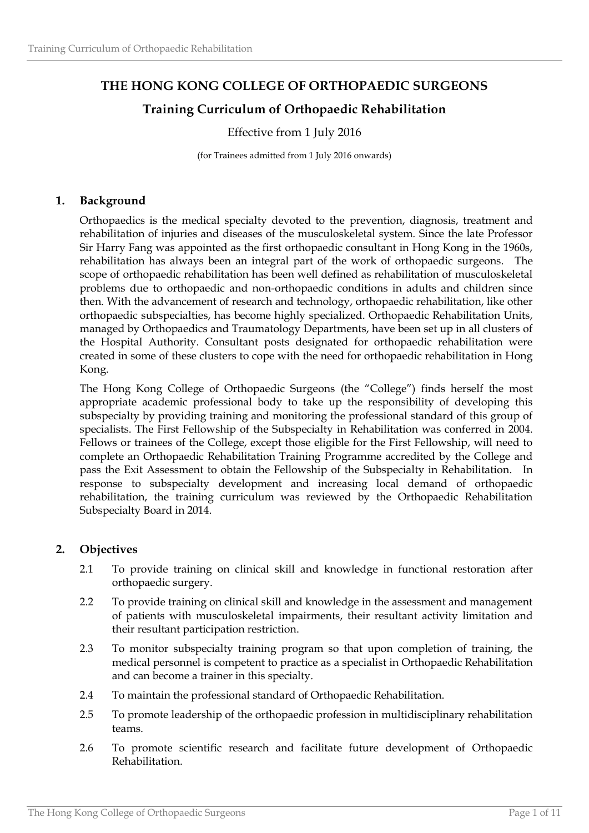# **THE HONG KONG COLLEGE OF ORTHOPAEDIC SURGEONS Training Curriculum of Orthopaedic Rehabilitation**

# Effective from 1 July 2016

(for Trainees admitted from 1 July 2016 onwards)

# **1. Background**

Orthopaedics is the medical specialty devoted to the prevention, diagnosis, treatment and rehabilitation of injuries and diseases of the musculoskeletal system. Since the late Professor Sir Harry Fang was appointed as the first orthopaedic consultant in Hong Kong in the 1960s, rehabilitation has always been an integral part of the work of orthopaedic surgeons. The scope of orthopaedic rehabilitation has been well defined as rehabilitation of musculoskeletal problems due to orthopaedic and non-orthopaedic conditions in adults and children since then. With the advancement of research and technology, orthopaedic rehabilitation, like other orthopaedic subspecialties, has become highly specialized. Orthopaedic Rehabilitation Units, managed by Orthopaedics and Traumatology Departments, have been set up in all clusters of the Hospital Authority. Consultant posts designated for orthopaedic rehabilitation were created in some of these clusters to cope with the need for orthopaedic rehabilitation in Hong Kong.

The Hong Kong College of Orthopaedic Surgeons (the "College") finds herself the most appropriate academic professional body to take up the responsibility of developing this subspecialty by providing training and monitoring the professional standard of this group of specialists. The First Fellowship of the Subspecialty in Rehabilitation was conferred in 2004. Fellows or trainees of the College, except those eligible for the First Fellowship, will need to complete an Orthopaedic Rehabilitation Training Programme accredited by the College and pass the Exit Assessment to obtain the Fellowship of the Subspecialty in Rehabilitation. In response to subspecialty development and increasing local demand of orthopaedic rehabilitation, the training curriculum was reviewed by the Orthopaedic Rehabilitation Subspecialty Board in 2014.

# **2. Objectives**

- 2.1 To provide training on clinical skill and knowledge in functional restoration after orthopaedic surgery.
- 2.2 To provide training on clinical skill and knowledge in the assessment and management of patients with musculoskeletal impairments, their resultant activity limitation and their resultant participation restriction.
- 2.3 To monitor subspecialty training program so that upon completion of training, the medical personnel is competent to practice as a specialist in Orthopaedic Rehabilitation and can become a trainer in this specialty.
- 2.4 To maintain the professional standard of Orthopaedic Rehabilitation.
- 2.5 To promote leadership of the orthopaedic profession in multidisciplinary rehabilitation teams.
- 2.6 To promote scientific research and facilitate future development of Orthopaedic Rehabilitation.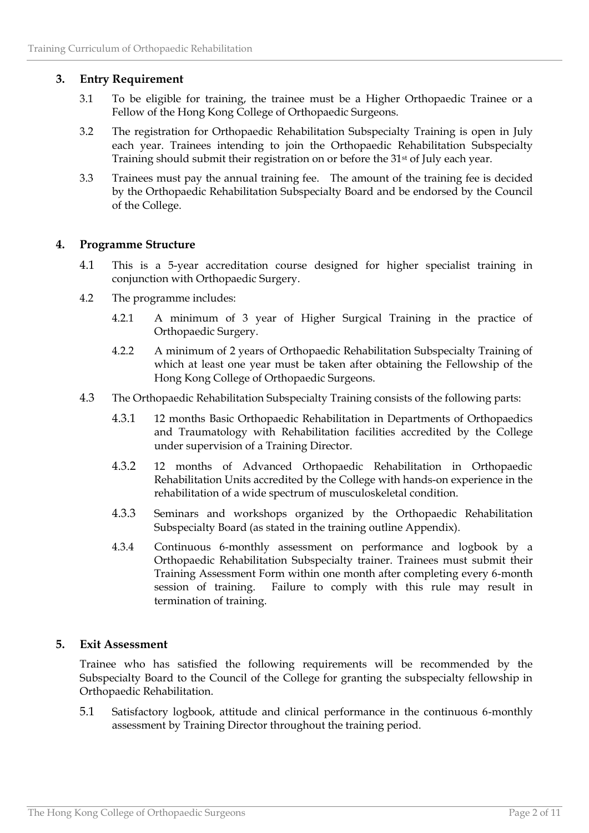# **3. Entry Requirement**

- 3.1 To be eligible for training, the trainee must be a Higher Orthopaedic Trainee or a Fellow of the Hong Kong College of Orthopaedic Surgeons.
- 3.2 The registration for Orthopaedic Rehabilitation Subspecialty Training is open in July each year. Trainees intending to join the Orthopaedic Rehabilitation Subspecialty Training should submit their registration on or before the 31<sup>st</sup> of July each year.
- 3.3 Trainees must pay the annual training fee. The amount of the training fee is decided by the Orthopaedic Rehabilitation Subspecialty Board and be endorsed by the Council of the College.

# **4. Programme Structure**

- 4.1 This is a 5-year accreditation course designed for higher specialist training in conjunction with Orthopaedic Surgery.
- 4.2 The programme includes:
	- 4.2.1 A minimum of 3 year of Higher Surgical Training in the practice of Orthopaedic Surgery.
	- 4.2.2 A minimum of 2 years of Orthopaedic Rehabilitation Subspecialty Training of which at least one year must be taken after obtaining the Fellowship of the Hong Kong College of Orthopaedic Surgeons.
- 4.3 The Orthopaedic Rehabilitation Subspecialty Training consists of the following parts:
	- 4.3.1 12 months Basic Orthopaedic Rehabilitation in Departments of Orthopaedics and Traumatology with Rehabilitation facilities accredited by the College under supervision of a Training Director.
	- 4.3.2 12 months of Advanced Orthopaedic Rehabilitation in Orthopaedic Rehabilitation Units accredited by the College with hands-on experience in the rehabilitation of a wide spectrum of musculoskeletal condition.
	- 4.3.3 Seminars and workshops organized by the Orthopaedic Rehabilitation Subspecialty Board (as stated in the training outline Appendix).
	- 4.3.4 Continuous 6-monthly assessment on performance and logbook by a Orthopaedic Rehabilitation Subspecialty trainer. Trainees must submit their Training Assessment Form within one month after completing every 6-month session of training. Failure to comply with this rule may result in termination of training.

# **5. Exit Assessment**

Trainee who has satisfied the following requirements will be recommended by the Subspecialty Board to the Council of the College for granting the subspecialty fellowship in Orthopaedic Rehabilitation.

5.1 Satisfactory logbook, attitude and clinical performance in the continuous 6-monthly assessment by Training Director throughout the training period.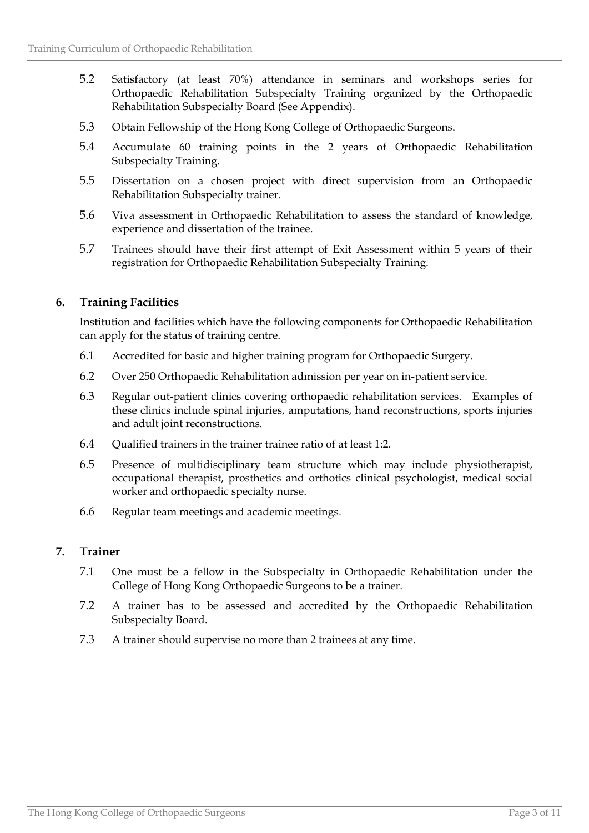- 5.2 Satisfactory (at least 70%) attendance in seminars and workshops series for Orthopaedic Rehabilitation Subspecialty Training organized by the Orthopaedic Rehabilitation Subspecialty Board (See Appendix).
- 5.3 Obtain Fellowship of the Hong Kong College of Orthopaedic Surgeons.
- 5.4 Accumulate 60 training points in the 2 years of Orthopaedic Rehabilitation Subspecialty Training.
- 5.5 Dissertation on a chosen project with direct supervision from an Orthopaedic Rehabilitation Subspecialty trainer.
- 5.6 Viva assessment in Orthopaedic Rehabilitation to assess the standard of knowledge, experience and dissertation of the trainee.
- 5.7 Trainees should have their first attempt of Exit Assessment within 5 years of their registration for Orthopaedic Rehabilitation Subspecialty Training.

# **6. Training Facilities**

Institution and facilities which have the following components for Orthopaedic Rehabilitation can apply for the status of training centre.

- 6.1 Accredited for basic and higher training program for Orthopaedic Surgery.
- 6.2 Over 250 Orthopaedic Rehabilitation admission per year on in-patient service.
- 6.3 Regular out-patient clinics covering orthopaedic rehabilitation services. Examples of these clinics include spinal injuries, amputations, hand reconstructions, sports injuries and adult joint reconstructions.
- 6.4 Qualified trainers in the trainer trainee ratio of at least 1:2.
- 6.5 Presence of multidisciplinary team structure which may include physiotherapist, occupational therapist, prosthetics and orthotics clinical psychologist, medical social worker and orthopaedic specialty nurse.
- 6.6 Regular team meetings and academic meetings.

### **7. Trainer**

- 7.1 One must be a fellow in the Subspecialty in Orthopaedic Rehabilitation under the College of Hong Kong Orthopaedic Surgeons to be a trainer.
- 7.2 A trainer has to be assessed and accredited by the Orthopaedic Rehabilitation Subspecialty Board.
- 7.3 A trainer should supervise no more than 2 trainees at any time.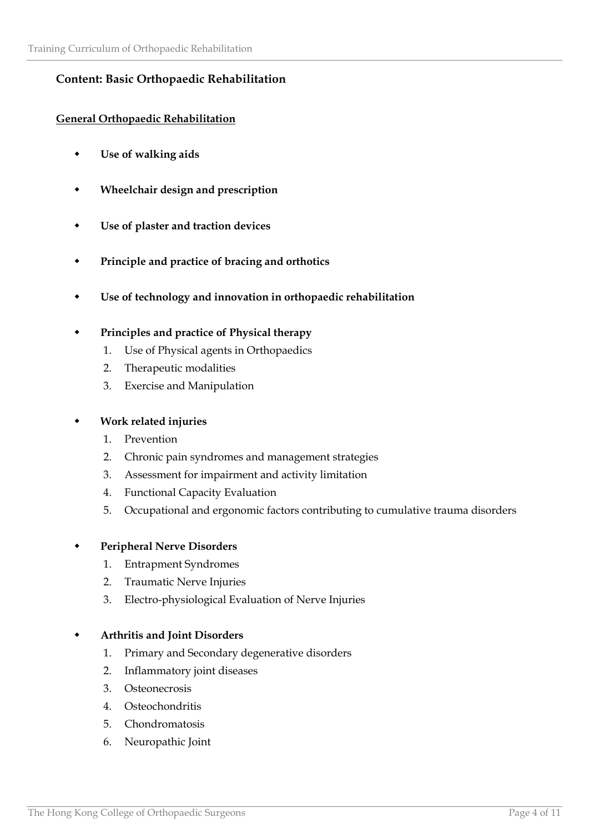# **Content: Basic Orthopaedic Rehabilitation**

# **General Orthopaedic Rehabilitation**

- **Use of walking aids**
- **Wheelchair design and prescription**
- **Use of plaster and traction devices**
- **Principle and practice of bracing and orthotics**
- **Use of technology and innovation in orthopaedic rehabilitation**

### **Principles and practice of Physical therapy**

- 1. Use of Physical agents in Orthopaedics
- 2. Therapeutic modalities
- 3. Exercise and Manipulation

### **Work related injuries**

- 1. Prevention
- 2. Chronic pain syndromes and management strategies
- 3. Assessment for impairment and activity limitation
- 4. Functional Capacity Evaluation
- 5. Occupational and ergonomic factors contributing to cumulative trauma disorders

### **Peripheral Nerve Disorders**

- 1. Entrapment Syndromes
- 2. Traumatic Nerve Injuries
- 3. Electro-physiological Evaluation of Nerve Injuries

### **Arthritis and Joint Disorders**

- 1. Primary and Secondary degenerative disorders
- 2. Inflammatory joint diseases
- 3. Osteonecrosis
- 4. Osteochondritis
- 5. Chondromatosis
- 6. Neuropathic Joint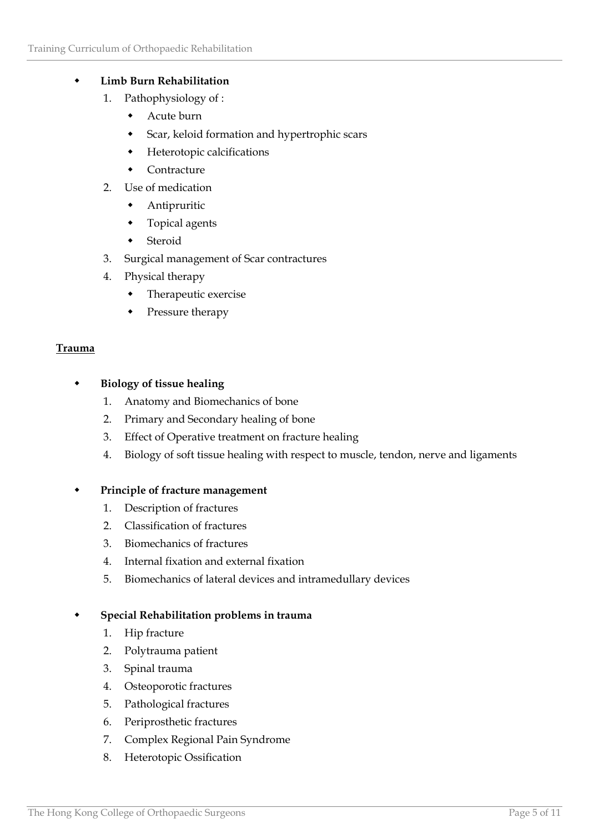### **Limb Burn Rehabilitation**

- 1. Pathophysiology of :
	- Acute burn
	- Scar, keloid formation and hypertrophic scars
	- Heterotopic calcifications
	- Contracture
- 2. Use of medication
	- Antipruritic
	- Topical agents
	- Steroid
- 3. Surgical management of Scar contractures
- 4. Physical therapy
	- Therapeutic exercise
	- Pressure therapy

### **Trauma**

### **Biology of tissue healing**

- 1. Anatomy and Biomechanics of bone
- 2. Primary and Secondary healing of bone
- 3. Effect of Operative treatment on fracture healing
- 4. Biology of soft tissue healing with respect to muscle, tendon, nerve and ligaments

### **Principle of fracture management**

- 1. Description of fractures
- 2. Classification of fractures
- 3. Biomechanics of fractures
- 4. Internal fixation and external fixation
- 5. Biomechanics of lateral devices and intramedullary devices

### **Special Rehabilitation problems in trauma**

- 1. Hip fracture
- 2. Polytrauma patient
- 3. Spinal trauma
- 4. Osteoporotic fractures
- 5. Pathological fractures
- 6. Periprosthetic fractures
- 7. Complex Regional Pain Syndrome
- 8. Heterotopic Ossification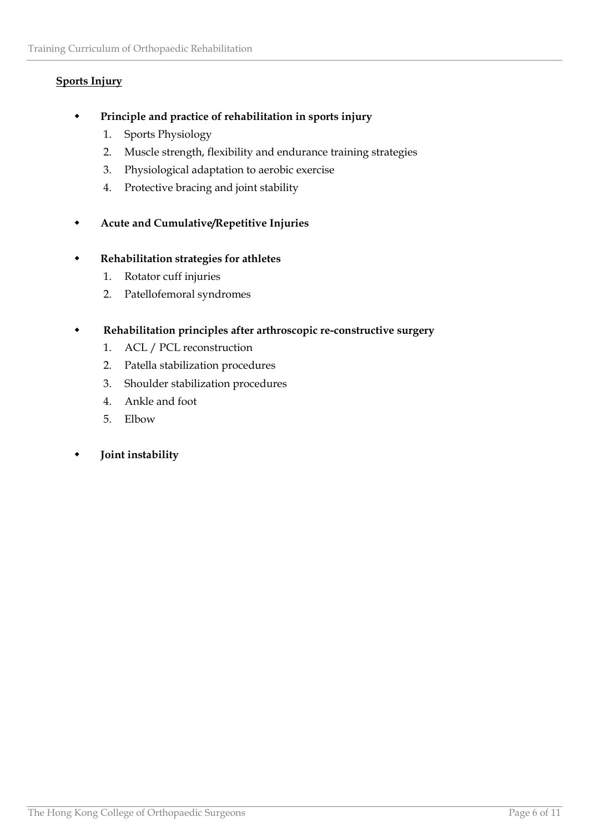# **Sports Injury**

- **Principle and practice of rehabilitation in sports injury**
	- 1. Sports Physiology
	- 2. Muscle strength, flexibility and endurance training strategies
	- 3. Physiological adaptation to aerobic exercise
	- 4. Protective bracing and joint stability
- **Acute and Cumulative/Repetitive Injuries**

### **Rehabilitation strategies for athletes**

- 1. Rotator cuff injuries
- 2. Patellofemoral syndromes

### **Rehabilitation principles after arthroscopic re-constructive surgery**

- 1. ACL / PCL reconstruction
- 2. Patella stabilization procedures
- 3. Shoulder stabilization procedures
- 4. Ankle and foot
- 5. Elbow

### **Joint instability**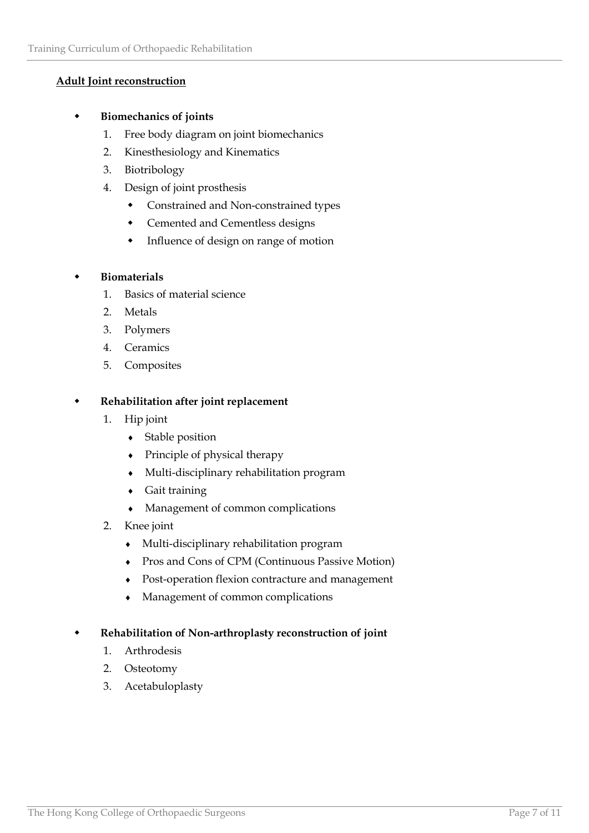# **Adult Joint reconstruction**

### **Biomechanics of joints**

- 1. Free body diagram on joint biomechanics
- 2. Kinesthesiology and Kinematics
- 3. Biotribology
- 4. Design of joint prosthesis
	- Constrained and Non-constrained types
	- Cemented and Cementless designs
	- Influence of design on range of motion

### **Biomaterials**

- 1. Basics of material science
- 2. Metals
- 3. Polymers
- 4. Ceramics
- 5. Composites

### **Rehabilitation after joint replacement**

- 1. Hip joint
	- Stable position
	- Principle of physical therapy
	- Multi-disciplinary rehabilitation program
	- Gait training
	- Management of common complications
- 2. Knee joint
	- Multi-disciplinary rehabilitation program
	- Pros and Cons of CPM (Continuous Passive Motion)
	- Post-operation flexion contracture and management
	- Management of common complications

### **Rehabilitation of Non-arthroplasty reconstruction of joint**

- 1. Arthrodesis
- 2. Osteotomy
- 3. Acetabuloplasty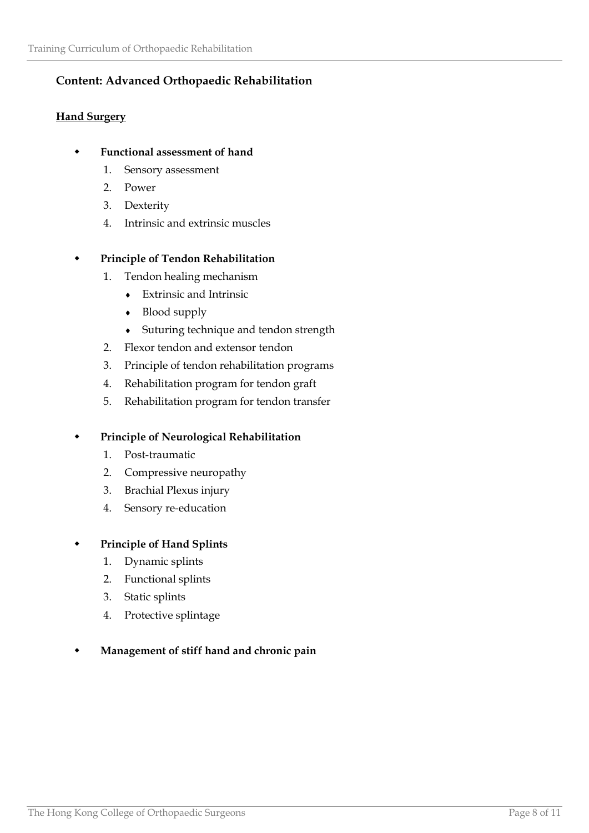# **Content: Advanced Orthopaedic Rehabilitation**

# **Hand Surgery**

# **Functional assessment of hand**

- 1. Sensory assessment
- 2. Power
- 3. Dexterity
- 4. Intrinsic and extrinsic muscles

# **Principle of Tendon Rehabilitation**

- 1. Tendon healing mechanism
	- Extrinsic and Intrinsic
	- Blood supply
	- Suturing technique and tendon strength
- 2. Flexor tendon and extensor tendon
- 3. Principle of tendon rehabilitation programs
- 4. Rehabilitation program for tendon graft
- 5. Rehabilitation program for tendon transfer

# **Principle of Neurological Rehabilitation**

- 1. Post-traumatic
- 2. Compressive neuropathy
- 3. Brachial Plexus injury
- 4. Sensory re-education

# **Principle of Hand Splints**

- 1. Dynamic splints
- 2. Functional splints
- 3. Static splints
- 4. Protective splintage

# **Management of stiff hand and chronic pain**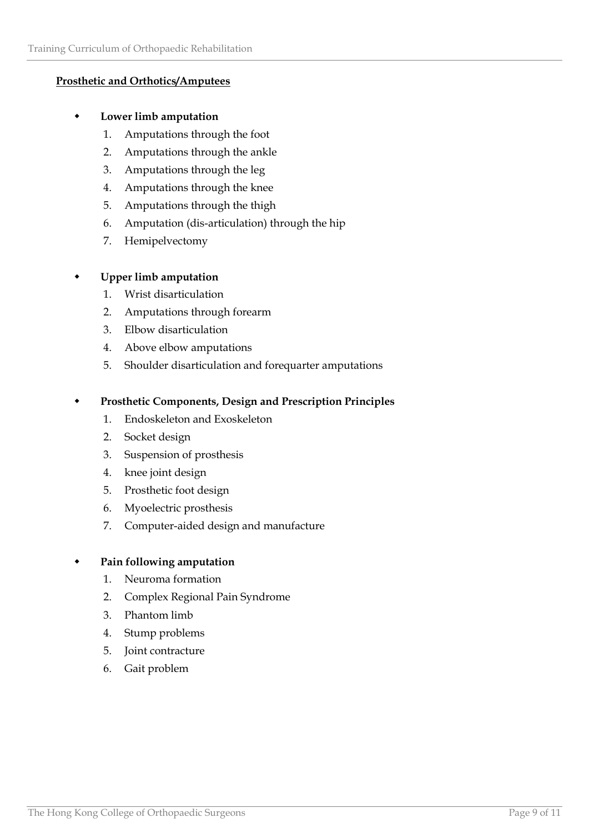### **Prosthetic and Orthotics/Amputees**

### **Lower limb amputation**

- 1. Amputations through the foot
- 2. Amputations through the ankle
- 3. Amputations through the leg
- 4. Amputations through the knee
- 5. Amputations through the thigh
- 6. Amputation (dis-articulation) through the hip
- 7. Hemipelvectomy

# **Upper limb amputation**

- 1. Wrist disarticulation
- 2. Amputations through forearm
- 3. Elbow disarticulation
- 4. Above elbow amputations
- 5. Shoulder disarticulation and forequarter amputations

# **Prosthetic Components, Design and Prescription Principles**

- 1. Endoskeleton and Exoskeleton
- 2. Socket design
- 3. Suspension of prosthesis
- 4. knee joint design
- 5. Prosthetic foot design
- 6. Myoelectric prosthesis
- 7. Computer-aided design and manufacture

### **Pain following amputation**

- 1. Neuroma formation
- 2. Complex Regional Pain Syndrome
- 3. Phantom limb
- 4. Stump problems
- 5. Joint contracture
- 6. Gait problem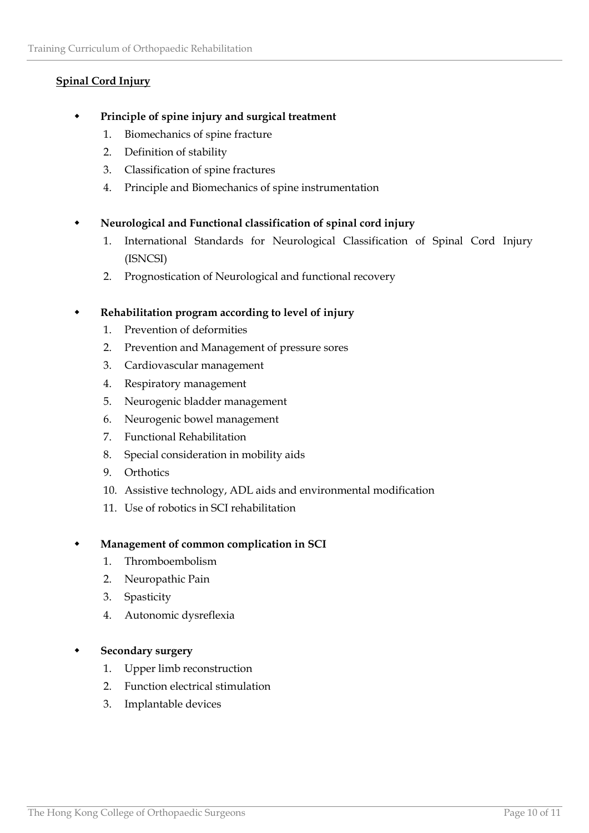# **Spinal Cord Injury**

- **Principle of spine injury and surgical treatment**
	- 1. Biomechanics of spine fracture
	- 2. Definition of stability
	- 3. Classification of spine fractures
	- 4. Principle and Biomechanics of spine instrumentation

# **Neurological and Functional classification of spinal cord injury**

- 1. International Standards for Neurological Classification of Spinal Cord Injury (ISNCSI)
- 2. Prognostication of Neurological and functional recovery

# **Rehabilitation program according to level of injury**

- 1. Prevention of deformities
- 2. Prevention and Management of pressure sores
- 3. Cardiovascular management
- 4. Respiratory management
- 5. Neurogenic bladder management
- 6. Neurogenic bowel management
- 7. Functional Rehabilitation
- 8. Special consideration in mobility aids
- 9. Orthotics
- 10. Assistive technology, ADL aids and environmental modification
- 11. Use of robotics in SCI rehabilitation

### **Management of common complication in SCI**

- 1. Thromboembolism
- 2. Neuropathic Pain
- 3. Spasticity
- 4. Autonomic dysreflexia

### **Secondary surgery**

- 1. Upper limb reconstruction
- 2. Function electrical stimulation
- 3. Implantable devices